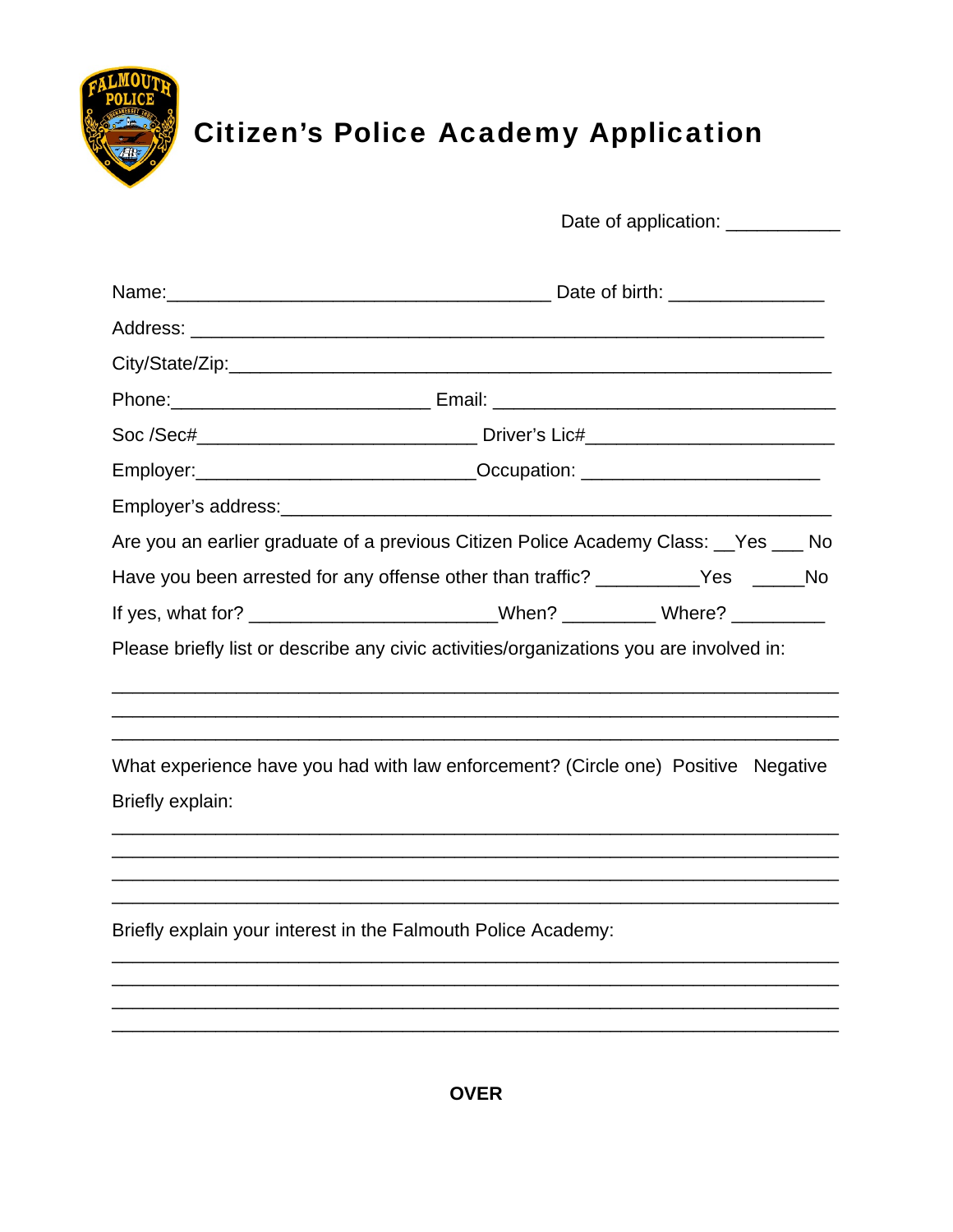

## **Citizen's Police Academy Application**

|                                                                                         | Date of application: ____________                                                |  |  |  |  |
|-----------------------------------------------------------------------------------------|----------------------------------------------------------------------------------|--|--|--|--|
|                                                                                         |                                                                                  |  |  |  |  |
|                                                                                         |                                                                                  |  |  |  |  |
|                                                                                         |                                                                                  |  |  |  |  |
|                                                                                         |                                                                                  |  |  |  |  |
|                                                                                         |                                                                                  |  |  |  |  |
|                                                                                         | Employer: ________________________________Occupation: __________________________ |  |  |  |  |
|                                                                                         |                                                                                  |  |  |  |  |
| Are you an earlier graduate of a previous Citizen Police Academy Class: __Yes ___ No    |                                                                                  |  |  |  |  |
| Have you been arrested for any offense other than traffic? __________Yes _____No        |                                                                                  |  |  |  |  |
| If yes, what for? __________________________When? __________Where? ____________         |                                                                                  |  |  |  |  |
| Please briefly list or describe any civic activities/organizations you are involved in: |                                                                                  |  |  |  |  |
|                                                                                         |                                                                                  |  |  |  |  |
| What experience have you had with law enforcement? (Circle one) Positive Negative       |                                                                                  |  |  |  |  |
| Briefly explain:                                                                        |                                                                                  |  |  |  |  |
|                                                                                         |                                                                                  |  |  |  |  |
|                                                                                         |                                                                                  |  |  |  |  |
| Briefly explain your interest in the Falmouth Police Academy:                           |                                                                                  |  |  |  |  |
|                                                                                         |                                                                                  |  |  |  |  |